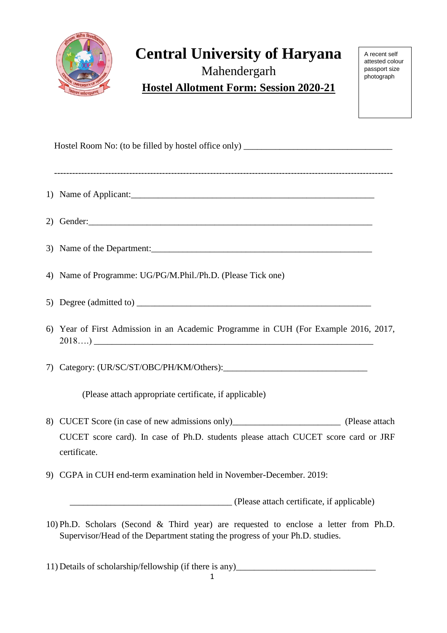

## **Central University of Haryana**  Mahendergarh

A recent self attested colour passport size photograph

**Hostel Allotment Form: Session 2020-21**

Hostel Room No: (to be filled by hostel office only) \_\_\_\_\_\_\_\_\_\_\_\_\_\_\_\_\_\_\_\_\_\_\_\_\_\_\_

----------------------------------------------------------------------------------------------------------------- 1) Name of Applicant: 2) Gender:\_\_\_\_\_\_\_\_\_\_\_\_\_\_\_\_\_\_\_\_\_\_\_\_\_\_\_\_\_\_\_\_\_\_\_\_\_\_\_\_\_\_\_\_\_\_\_\_\_\_\_\_\_\_\_\_\_\_\_\_\_\_\_ 3) Name of the Department: 4) Name of Programme: UG/PG/M.Phil./Ph.D. (Please Tick one) 5) Degree (admitted to) 6) Year of First Admission in an Academic Programme in CUH (For Example 2016, 2017,  $2018...$ ) 7) Category: (UR/SC/ST/OBC/PH/KM/Others): (Please attach appropriate certificate, if applicable) 8) CUCET Score (in case of new admissions only)\_\_\_\_\_\_\_\_\_\_\_\_\_\_\_\_\_\_\_\_\_\_\_\_\_\_\_\_ (Please attach CUCET score card). In case of Ph.D. students please attach CUCET score card or JRF certificate. 9) CGPA in CUH end-term examination held in November-December. 2019: \_\_\_\_\_\_\_\_\_\_\_\_\_\_\_\_\_\_\_\_\_\_\_\_\_\_\_\_\_\_\_\_\_\_\_\_ (Please attach certificate, if applicable) 10) Ph.D. Scholars (Second & Third year) are requested to enclose a letter from Ph.D. Supervisor/Head of the Department stating the progress of your Ph.D. studies.

11) Details of scholarship/fellowship (if there is any)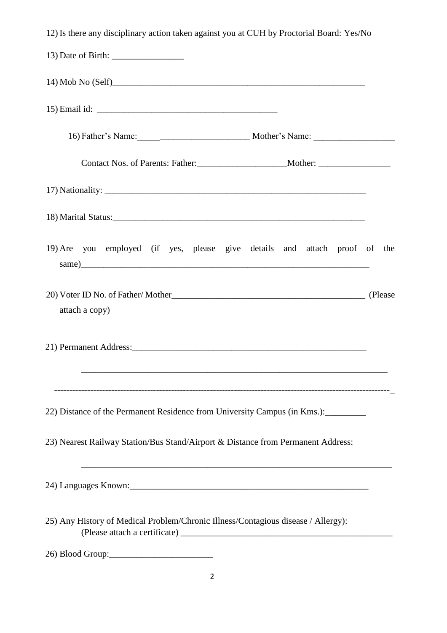| 12) Is there any disciplinary action taken against you at CUH by Proctorial Board: Yes/No |  |
|-------------------------------------------------------------------------------------------|--|
|                                                                                           |  |
|                                                                                           |  |
|                                                                                           |  |
| 16) Father's Name: Mother's Name:                                                         |  |
|                                                                                           |  |
|                                                                                           |  |
|                                                                                           |  |
| 19) Are you employed (if yes, please give details and attach proof of the                 |  |
| attach a copy)                                                                            |  |
|                                                                                           |  |
| 22) Distance of the Permanent Residence from University Campus (in Kms.):                 |  |
| 23) Nearest Railway Station/Bus Stand/Airport & Distance from Permanent Address:          |  |
| ,我们也不能在这里的时候,我们也不能在这里的时候,我们也不能会在这里的时候,我们也不能会在这里的时候,我们也不能会在这里的时候,我们也不能会在这里的时候,我们也          |  |
| 25) Any History of Medical Problem/Chronic Illness/Contagious disease / Allergy):         |  |
|                                                                                           |  |

2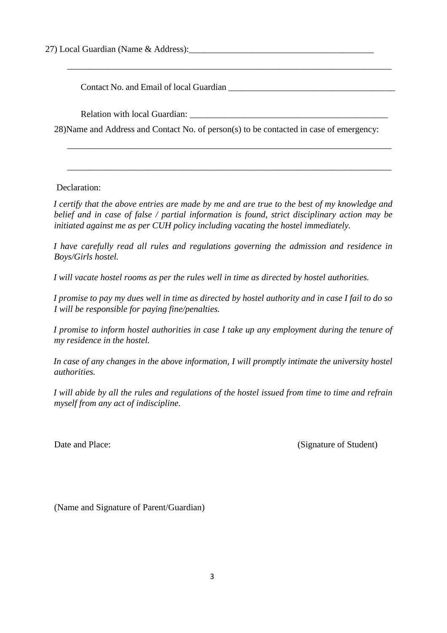27) Local Guardian (Name & Address): 27)

Contact No. and Email of local Guardian

Relation with local Guardian:

28)Name and Address and Contact No. of person(s) to be contacted in case of emergency:

\_\_\_\_\_\_\_\_\_\_\_\_\_\_\_\_\_\_\_\_\_\_\_\_\_\_\_\_\_\_\_\_\_\_\_\_\_\_\_\_\_\_\_\_\_\_\_\_\_\_\_\_\_\_\_\_\_\_\_\_\_\_\_\_\_\_\_\_\_\_\_\_

\_\_\_\_\_\_\_\_\_\_\_\_\_\_\_\_\_\_\_\_\_\_\_\_\_\_\_\_\_\_\_\_\_\_\_\_\_\_\_\_\_\_\_\_\_\_\_\_\_\_\_\_\_\_\_\_\_\_\_\_\_\_\_\_\_\_\_\_\_\_\_\_

\_\_\_\_\_\_\_\_\_\_\_\_\_\_\_\_\_\_\_\_\_\_\_\_\_\_\_\_\_\_\_\_\_\_\_\_\_\_\_\_\_\_\_\_\_\_\_\_\_\_\_\_\_\_\_\_\_\_\_\_\_\_\_\_\_\_\_\_\_\_\_\_

Declaration:

*I certify that the above entries are made by me and are true to the best of my knowledge and belief and in case of false / partial information is found, strict disciplinary action may be initiated against me as per CUH policy including vacating the hostel immediately.* 

*I have carefully read all rules and regulations governing the admission and residence in Boys/Girls hostel.*

*I will vacate hostel rooms as per the rules well in time as directed by hostel authorities.* 

*I promise to pay my dues well in time as directed by hostel authority and in case I fail to do so I will be responsible for paying fine/penalties.* 

*I promise to inform hostel authorities in case I take up any employment during the tenure of my residence in the hostel.* 

*In case of any changes in the above information, I will promptly intimate the university hostel authorities.* 

*I will abide by all the rules and regulations of the hostel issued from time to time and refrain myself from any act of indiscipline.* 

Date and Place: (Signature of Student)

(Name and Signature of Parent/Guardian)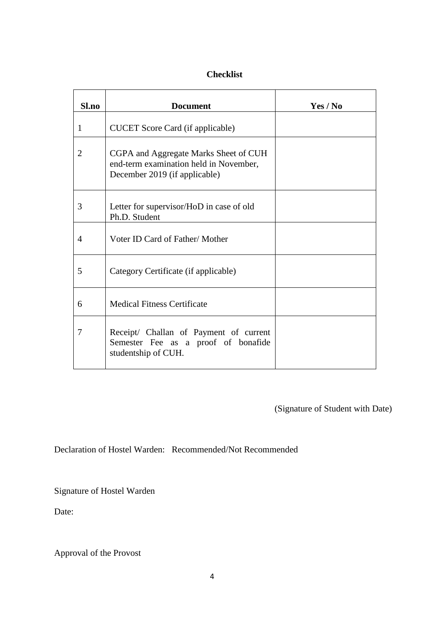## **Checklist**

| Sl.no          | <b>Document</b>                                                                                                  | Yes / No |
|----------------|------------------------------------------------------------------------------------------------------------------|----------|
| 1              | <b>CUCET</b> Score Card (if applicable)                                                                          |          |
| $\overline{2}$ | CGPA and Aggregate Marks Sheet of CUH<br>end-term examination held in November,<br>December 2019 (if applicable) |          |
| 3              | Letter for supervisor/HoD in case of old<br>Ph.D. Student                                                        |          |
| $\overline{4}$ | Voter ID Card of Father/Mother                                                                                   |          |
| 5              | Category Certificate (if applicable)                                                                             |          |
| 6              | <b>Medical Fitness Certificate</b>                                                                               |          |
| 7              | Receipt/ Challan of Payment of current<br>Semester Fee as a proof of bonafide<br>studentship of CUH.             |          |

(Signature of Student with Date)

Declaration of Hostel Warden: Recommended/Not Recommended

Signature of Hostel Warden

Date:

Approval of the Provost